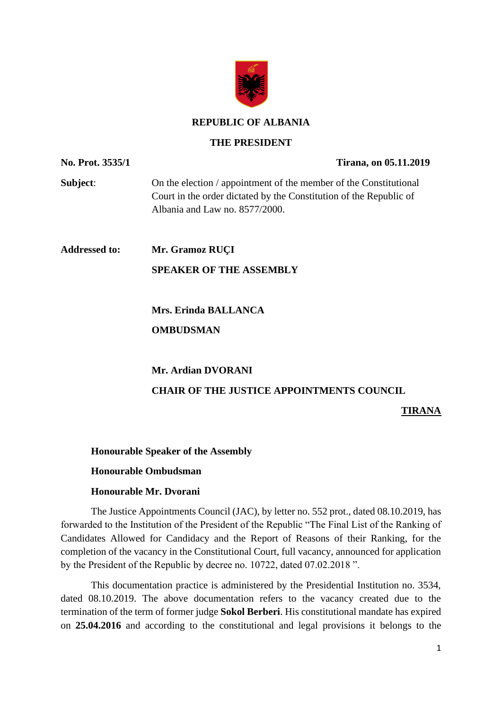

#### **REPUBLIC OF ALBANIA**

#### **THE PRESIDENT**

**No. Prot. 3535/1 Tirana, on 05.11.2019 Subject:** On the election / appointment of the member of the Constitutional Court in the order dictated by the Constitution of the Republic of Albania and Law no. 8577/2000. **Addressed to: Mr. Gramoz RUÇI SPEAKER OF THE ASSEMBLY Mrs. Erinda BALLANCA OMBUDSMAN Mr. Ardian DVORANI CHAIR OF THE JUSTICE APPOINTMENTS COUNCIL TIRANA**

**Honourable Speaker of the Assembly**

### **Honourable Ombudsman**

### **Honourable Mr. Dvorani**

The Justice Appointments Council (JAC), by letter no. 552 prot., dated 08.10.2019, has forwarded to the Institution of the President of the Republic "The Final List of the Ranking of Candidates Allowed for Candidacy and the Report of Reasons of their Ranking, for the completion of the vacancy in the Constitutional Court, full vacancy, announced for application by the President of the Republic by decree no. 10722, dated 07.02.2018 ".

This documentation practice is administered by the Presidential Institution no. 3534, dated 08.10.2019. The above documentation refers to the vacancy created due to the termination of the term of former judge **Sokol Berberi**. His constitutional mandate has expired on **25.04.2016** and according to the constitutional and legal provisions it belongs to the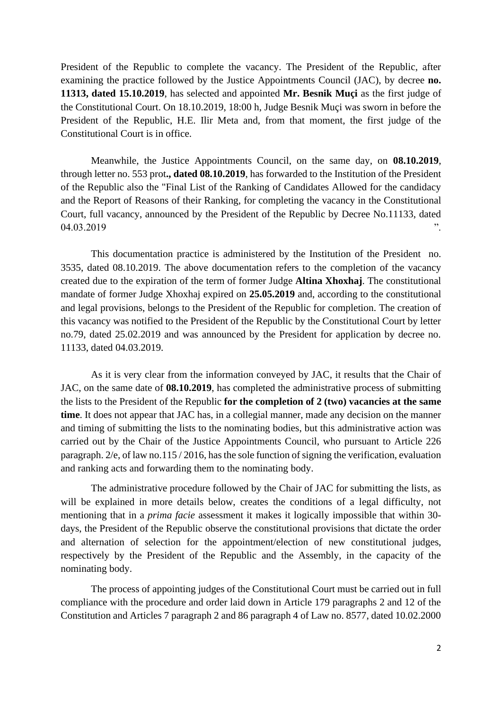President of the Republic to complete the vacancy. The President of the Republic, after examining the practice followed by the Justice Appointments Council (JAC), by decree **no. 11313, dated 15.10.2019**, has selected and appointed **Mr. Besnik Muçi** as the first judge of the Constitutional Court. On 18.10.2019, 18:00 h, Judge Besnik Muçi was sworn in before the President of the Republic, H.E. Ilir Meta and, from that moment, the first judge of the Constitutional Court is in office.

Meanwhile, the Justice Appointments Council, on the same day, on **08.10.2019**, through letter no. 553 prot**., dated 08.10.2019**, has forwarded to the Institution of the President of the Republic also the "Final List of the Ranking of Candidates Allowed for the candidacy and the Report of Reasons of their Ranking, for completing the vacancy in the Constitutional Court, full vacancy, announced by the President of the Republic by Decree No.11133, dated 04.03.2019 **".** 

This documentation practice is administered by the Institution of the President no. 3535, dated 08.10.2019. The above documentation refers to the completion of the vacancy created due to the expiration of the term of former Judge **Altina Xhoxhaj**. The constitutional mandate of former Judge Xhoxhaj expired on **25.05.2019** and, according to the constitutional and legal provisions, belongs to the President of the Republic for completion. The creation of this vacancy was notified to the President of the Republic by the Constitutional Court by letter no.79, dated 25.02.2019 and was announced by the President for application by decree no. 11133, dated 04.03.2019.

As it is very clear from the information conveyed by JAC, it results that the Chair of JAC, on the same date of **08.10.2019**, has completed the administrative process of submitting the lists to the President of the Republic **for the completion of 2 (two) vacancies at the same time**. It does not appear that JAC has, in a collegial manner, made any decision on the manner and timing of submitting the lists to the nominating bodies, but this administrative action was carried out by the Chair of the Justice Appointments Council, who pursuant to Article 226 paragraph. 2/e, of law no.115 / 2016, has the sole function of signing the verification, evaluation and ranking acts and forwarding them to the nominating body.

The administrative procedure followed by the Chair of JAC for submitting the lists, as will be explained in more details below, creates the conditions of a legal difficulty, not mentioning that in a *prima facie* assessment it makes it logically impossible that within 30 days, the President of the Republic observe the constitutional provisions that dictate the order and alternation of selection for the appointment/election of new constitutional judges, respectively by the President of the Republic and the Assembly, in the capacity of the nominating body.

The process of appointing judges of the Constitutional Court must be carried out in full compliance with the procedure and order laid down in Article 179 paragraphs 2 and 12 of the Constitution and Articles 7 paragraph 2 and 86 paragraph 4 of Law no. 8577, dated 10.02.2000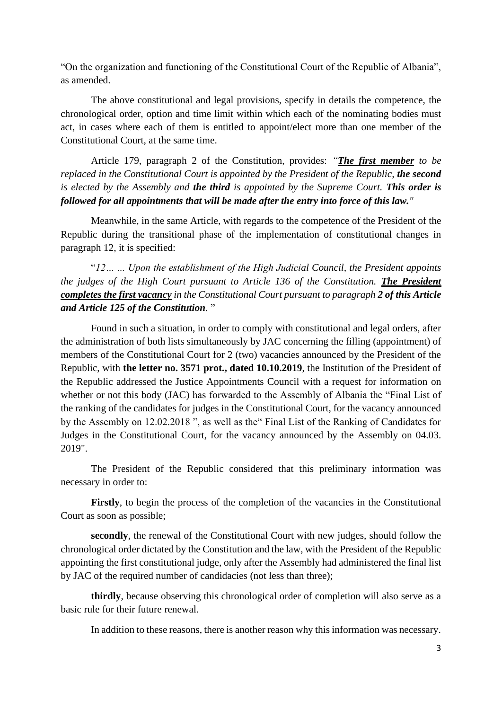"On the organization and functioning of the Constitutional Court of the Republic of Albania", as amended.

The above constitutional and legal provisions, specify in details the competence, the chronological order, option and time limit within which each of the nominating bodies must act, in cases where each of them is entitled to appoint/elect more than one member of the Constitutional Court, at the same time.

Article 179, paragraph 2 of the Constitution, provides: *"The first member to be replaced in the Constitutional Court is appointed by the President of the Republic, the second is elected by the Assembly and the third is appointed by the Supreme Court. This order is followed for all appointments that will be made after the entry into force of this law."*

Meanwhile, in the same Article, with regards to the competence of the President of the Republic during the transitional phase of the implementation of constitutional changes in paragraph 12, it is specified:

"*12… ... Upon the establishment of the High Judicial Council, the President appoints the judges of the High Court pursuant to Article 136 of the Constitution. The President completes the first vacancy in the Constitutional Court pursuant to paragraph 2 of this Article and Article 125 of the Constitution.* "

Found in such a situation, in order to comply with constitutional and legal orders, after the administration of both lists simultaneously by JAC concerning the filling (appointment) of members of the Constitutional Court for 2 (two) vacancies announced by the President of the Republic, with **the letter no. 3571 prot., dated 10.10.2019**, the Institution of the President of the Republic addressed the Justice Appointments Council with a request for information on whether or not this body (JAC) has forwarded to the Assembly of Albania the "Final List of the ranking of the candidates for judges in the Constitutional Court, for the vacancy announced by the Assembly on 12.02.2018 ", as well as the" Final List of the Ranking of Candidates for Judges in the Constitutional Court, for the vacancy announced by the Assembly on 04.03. 2019".

The President of the Republic considered that this preliminary information was necessary in order to:

Firstly, to begin the process of the completion of the vacancies in the Constitutional Court as soon as possible;

**secondly**, the renewal of the Constitutional Court with new judges, should follow the chronological order dictated by the Constitution and the law, with the President of the Republic appointing the first constitutional judge, only after the Assembly had administered the final list by JAC of the required number of candidacies (not less than three);

**thirdly**, because observing this chronological order of completion will also serve as a basic rule for their future renewal.

In addition to these reasons, there is another reason why this information was necessary.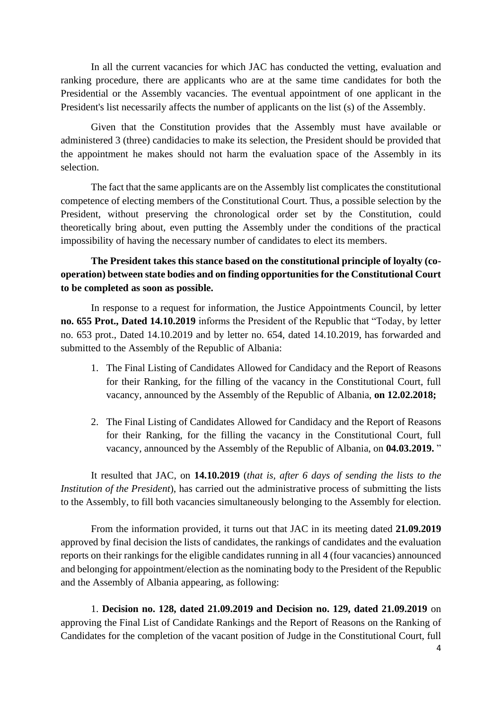In all the current vacancies for which JAC has conducted the vetting, evaluation and ranking procedure, there are applicants who are at the same time candidates for both the Presidential or the Assembly vacancies. The eventual appointment of one applicant in the President's list necessarily affects the number of applicants on the list (s) of the Assembly.

Given that the Constitution provides that the Assembly must have available or administered 3 (three) candidacies to make its selection, the President should be provided that the appointment he makes should not harm the evaluation space of the Assembly in its selection.

The fact that the same applicants are on the Assembly list complicates the constitutional competence of electing members of the Constitutional Court. Thus, a possible selection by the President, without preserving the chronological order set by the Constitution, could theoretically bring about, even putting the Assembly under the conditions of the practical impossibility of having the necessary number of candidates to elect its members.

# **The President takes this stance based on the constitutional principle of loyalty (cooperation) between state bodies and on finding opportunities for the Constitutional Court to be completed as soon as possible.**

In response to a request for information, the Justice Appointments Council, by letter **no. 655 Prot., Dated 14.10.2019** informs the President of the Republic that "Today, by letter no. 653 prot., Dated 14.10.2019 and by letter no. 654, dated 14.10.2019, has forwarded and submitted to the Assembly of the Republic of Albania:

- 1. The Final Listing of Candidates Allowed for Candidacy and the Report of Reasons for their Ranking, for the filling of the vacancy in the Constitutional Court, full vacancy, announced by the Assembly of the Republic of Albania, **on 12.02.2018;**
- 2. The Final Listing of Candidates Allowed for Candidacy and the Report of Reasons for their Ranking, for the filling the vacancy in the Constitutional Court, full vacancy, announced by the Assembly of the Republic of Albania, on **04.03.2019.** "

It resulted that JAC, on **14.10.2019** (*that is, after 6 days of sending the lists to the Institution of the President*), has carried out the administrative process of submitting the lists to the Assembly, to fill both vacancies simultaneously belonging to the Assembly for election.

From the information provided, it turns out that JAC in its meeting dated **21.09.2019** approved by final decision the lists of candidates, the rankings of candidates and the evaluation reports on their rankings for the eligible candidates running in all 4 (four vacancies) announced and belonging for appointment/election as the nominating body to the President of the Republic and the Assembly of Albania appearing, as following:

1. **Decision no. 128, dated 21.09.2019 and Decision no. 129, dated 21.09.2019** on approving the Final List of Candidate Rankings and the Report of Reasons on the Ranking of Candidates for the completion of the vacant position of Judge in the Constitutional Court, full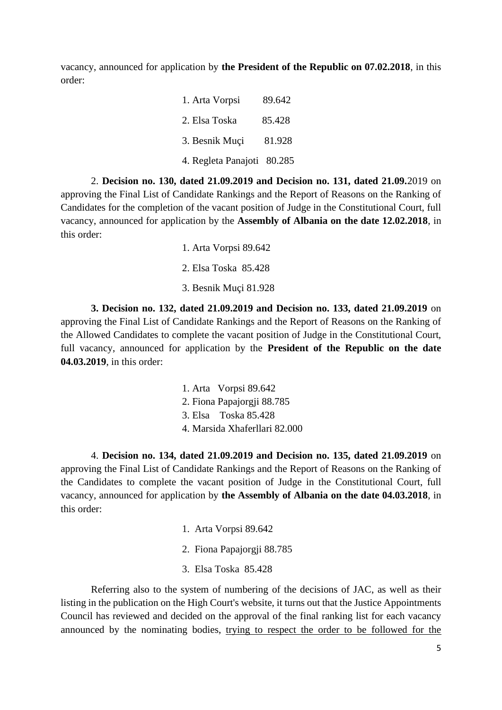vacancy, announced for application by **the President of the Republic on 07.02.2018**, in this order:

| 1. Arta Vorpsi             | 89.642 |
|----------------------------|--------|
| 2. Elsa Toska              | 85.428 |
| 3. Besnik Muçi             | 81.928 |
| 4. Regleta Panajoti 80.285 |        |

2. **Decision no. 130, dated 21.09.2019 and Decision no. 131, dated 21.09.**2019 on approving the Final List of Candidate Rankings and the Report of Reasons on the Ranking of Candidates for the completion of the vacant position of Judge in the Constitutional Court, full vacancy, announced for application by the **Assembly of Albania on the date 12.02.2018**, in this order:

> 1. Arta Vorpsi 89.642 2. Elsa Toska 85.428 3. Besnik Muçi 81.928

**3. Decision no. 132, dated 21.09.2019 and Decision no. 133, dated 21.09.2019** on approving the Final List of Candidate Rankings and the Report of Reasons on the Ranking of the Allowed Candidates to complete the vacant position of Judge in the Constitutional Court, full vacancy, announced for application by the **President of the Republic on the date 04.03.2019**, in this order:

> 1. Arta Vorpsi 89.642 2. Fiona Papajorgji 88.785 3. Elsa Toska 85.428 4. Marsida Xhaferllari 82.000

4. **Decision no. 134, dated 21.09.2019 and Decision no. 135, dated 21.09.2019** on approving the Final List of Candidate Rankings and the Report of Reasons on the Ranking of the Candidates to complete the vacant position of Judge in the Constitutional Court, full vacancy, announced for application by **the Assembly of Albania on the date 04.03.2018**, in this order:

- 1. Arta Vorpsi 89.642
- 2. Fiona Papajorgji 88.785
- 3. Elsa Toska 85.428

Referring also to the system of numbering of the decisions of JAC, as well as their listing in the publication on the High Court's website, it turns out that the Justice Appointments Council has reviewed and decided on the approval of the final ranking list for each vacancy announced by the nominating bodies, trying to respect the order to be followed for the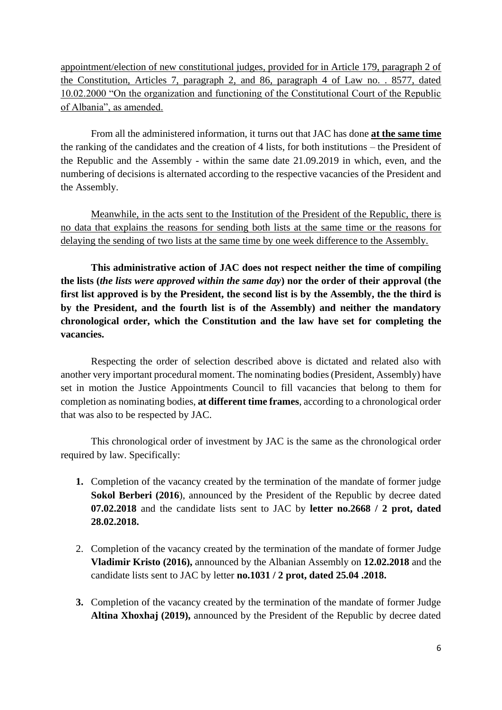appointment/election of new constitutional judges, provided for in Article 179, paragraph 2 of the Constitution, Articles 7, paragraph 2, and 86, paragraph 4 of Law no. . 8577, dated 10.02.2000 "On the organization and functioning of the Constitutional Court of the Republic of Albania", as amended.

From all the administered information, it turns out that JAC has done **at the same time** the ranking of the candidates and the creation of 4 lists, for both institutions – the President of the Republic and the Assembly - within the same date 21.09.2019 in which, even, and the numbering of decisions is alternated according to the respective vacancies of the President and the Assembly.

Meanwhile, in the acts sent to the Institution of the President of the Republic, there is no data that explains the reasons for sending both lists at the same time or the reasons for delaying the sending of two lists at the same time by one week difference to the Assembly.

**This administrative action of JAC does not respect neither the time of compiling the lists (***the lists were approved within the same day***) nor the order of their approval (the first list approved is by the President, the second list is by the Assembly, the the third is by the President, and the fourth list is of the Assembly) and neither the mandatory chronological order, which the Constitution and the law have set for completing the vacancies.**

Respecting the order of selection described above is dictated and related also with another very important procedural moment. The nominating bodies (President, Assembly) have set in motion the Justice Appointments Council to fill vacancies that belong to them for completion as nominating bodies, **at different time frames**, according to a chronological order that was also to be respected by JAC.

This chronological order of investment by JAC is the same as the chronological order required by law. Specifically:

- **1.** Completion of the vacancy created by the termination of the mandate of former judge **Sokol Berberi (2016**), announced by the President of the Republic by decree dated **07.02.2018** and the candidate lists sent to JAC by **letter no.2668 / 2 prot, dated 28.02.2018.**
- 2. Completion of the vacancy created by the termination of the mandate of former Judge **Vladimir Kristo (2016),** announced by the Albanian Assembly on **12.02.2018** and the candidate lists sent to JAC by letter **no.1031 / 2 prot, dated 25.04 .2018.**
- **3.** Completion of the vacancy created by the termination of the mandate of former Judge **Altina Xhoxhaj (2019),** announced by the President of the Republic by decree dated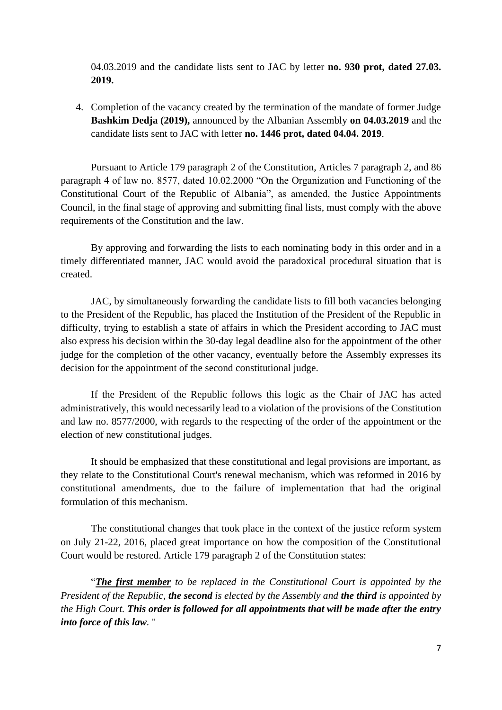04.03.2019 and the candidate lists sent to JAC by letter **no. 930 prot, dated 27.03. 2019.**

4. Completion of the vacancy created by the termination of the mandate of former Judge **Bashkim Dedja (2019),** announced by the Albanian Assembly **on 04.03.2019** and the candidate lists sent to JAC with letter **no. 1446 prot, dated 04.04. 2019**.

Pursuant to Article 179 paragraph 2 of the Constitution, Articles 7 paragraph 2, and 86 paragraph 4 of law no. 8577, dated 10.02.2000 "On the Organization and Functioning of the Constitutional Court of the Republic of Albania", as amended, the Justice Appointments Council, in the final stage of approving and submitting final lists, must comply with the above requirements of the Constitution and the law.

By approving and forwarding the lists to each nominating body in this order and in a timely differentiated manner, JAC would avoid the paradoxical procedural situation that is created.

JAC, by simultaneously forwarding the candidate lists to fill both vacancies belonging to the President of the Republic, has placed the Institution of the President of the Republic in difficulty, trying to establish a state of affairs in which the President according to JAC must also express his decision within the 30-day legal deadline also for the appointment of the other judge for the completion of the other vacancy, eventually before the Assembly expresses its decision for the appointment of the second constitutional judge.

If the President of the Republic follows this logic as the Chair of JAC has acted administratively, this would necessarily lead to a violation of the provisions of the Constitution and law no. 8577/2000, with regards to the respecting of the order of the appointment or the election of new constitutional judges.

It should be emphasized that these constitutional and legal provisions are important, as they relate to the Constitutional Court's renewal mechanism, which was reformed in 2016 by constitutional amendments, due to the failure of implementation that had the original formulation of this mechanism.

The constitutional changes that took place in the context of the justice reform system on July 21-22, 2016, placed great importance on how the composition of the Constitutional Court would be restored. Article 179 paragraph 2 of the Constitution states:

"*The first member to be replaced in the Constitutional Court is appointed by the President of the Republic, the second is elected by the Assembly and the third is appointed by the High Court. This order is followed for all appointments that will be made after the entry into force of this law.* "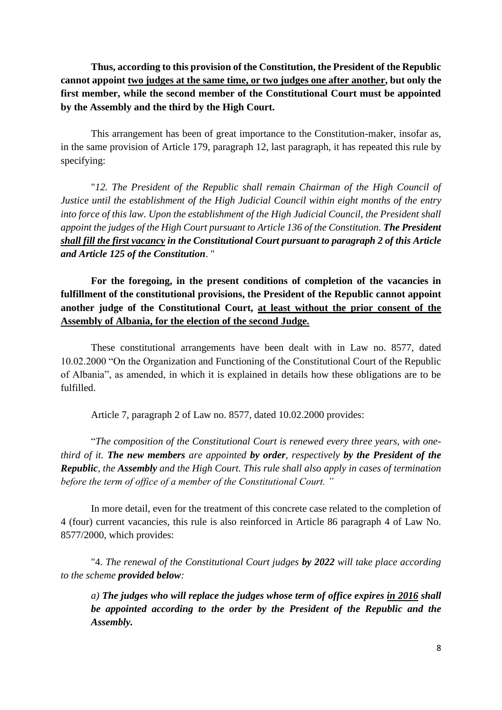**Thus, according to this provision of the Constitution, the President of the Republic cannot appoint two judges at the same time, or two judges one after another, but only the first member, while the second member of the Constitutional Court must be appointed by the Assembly and the third by the High Court.**

This arrangement has been of great importance to the Constitution-maker, insofar as, in the same provision of Article 179, paragraph 12, last paragraph, it has repeated this rule by specifying:

"*12. The President of the Republic shall remain Chairman of the High Council of Justice until the establishment of the High Judicial Council within eight months of the entry into force of this law. Upon the establishment of the High Judicial Council, the President shall appoint the judges of the High Court pursuant to Article 136 of the Constitution. The President shall fill the first vacancy in the Constitutional Court pursuant to paragraph 2 of this Article and Article 125 of the Constitution*. "

**For the foregoing, in the present conditions of completion of the vacancies in fulfillment of the constitutional provisions, the President of the Republic cannot appoint another judge of the Constitutional Court, at least without the prior consent of the Assembly of Albania, for the election of the second Judge.**

These constitutional arrangements have been dealt with in Law no. 8577, dated 10.02.2000 "On the Organization and Functioning of the Constitutional Court of the Republic of Albania", as amended, in which it is explained in details how these obligations are to be fulfilled.

Article 7, paragraph 2 of Law no. 8577, dated 10.02.2000 provides:

"*The composition of the Constitutional Court is renewed every three years, with onethird of it. The new members are appointed by order, respectively by the President of the Republic, the Assembly and the High Court. This rule shall also apply in cases of termination before the term of office of a member of the Constitutional Court. "*

In more detail, even for the treatment of this concrete case related to the completion of 4 (four) current vacancies, this rule is also reinforced in Article 86 paragraph 4 of Law No. 8577/2000, which provides:

"4. *The renewal of the Constitutional Court judges by 2022 will take place according to the scheme provided below:*

*a) The judges who will replace the judges whose term of office expires in 2016 shall be appointed according to the order by the President of the Republic and the Assembly.*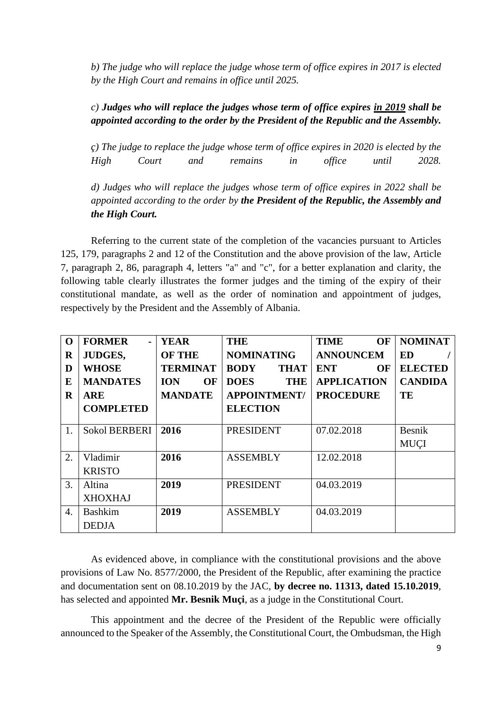*b) The judge who will replace the judge whose term of office expires in 2017 is elected by the High Court and remains in office until 2025.*

# *c) Judges who will replace the judges whose term of office expires in 2019 shall be appointed according to the order by the President of the Republic and the Assembly.*

*ç) The judge to replace the judge whose term of office expires in 2020 is elected by the High Court and remains in office until 2028.*

*d) Judges who will replace the judges whose term of office expires in 2022 shall be appointed according to the order by the President of the Republic, the Assembly and the High Court.*

Referring to the current state of the completion of the vacancies pursuant to Articles 125, 179, paragraphs 2 and 12 of the Constitution and the above provision of the law, Article 7, paragraph 2, 86, paragraph 4, letters "a" and "c", for a better explanation and clarity, the following table clearly illustrates the former judges and the timing of the expiry of their constitutional mandate, as well as the order of nomination and appointment of judges, respectively by the President and the Assembly of Albania.

| $\mathbf 0$      | <b>FORMER</b><br>$\blacksquare$ | <b>YEAR</b>      | <b>THE</b>                 | <b>TIME</b><br><b>OF</b> | <b>NOMINAT</b> |
|------------------|---------------------------------|------------------|----------------------------|--------------------------|----------------|
| $\mathbf R$      | <b>JUDGES,</b>                  | <b>OF THE</b>    | <b>NOMINATING</b>          | <b>ANNOUNCEM</b>         | ED             |
| D                | <b>WHOSE</b>                    | <b>TERMINAT</b>  | <b>BODY</b><br><b>THAT</b> | <b>ENT</b><br>OF         | <b>ELECTED</b> |
| E                | <b>MANDATES</b>                 | <b>ION</b><br>OF | <b>DOES</b><br><b>THE</b>  | <b>APPLICATION</b>       | <b>CANDIDA</b> |
| $\bf R$          | <b>ARE</b>                      | <b>MANDATE</b>   | <b>APPOINTMENT/</b>        | <b>PROCEDURE</b>         | TE             |
|                  | <b>COMPLETED</b>                |                  | <b>ELECTION</b>            |                          |                |
|                  |                                 |                  |                            |                          |                |
| 1.               | <b>Sokol BERBERI</b>            | 2016             | <b>PRESIDENT</b>           | 07.02.2018               | Besnik         |
|                  |                                 |                  |                            |                          | <b>MUCI</b>    |
| 2.               | Vladimir                        | 2016             | <b>ASSEMBLY</b>            | 12.02.2018               |                |
|                  | <b>KRISTO</b>                   |                  |                            |                          |                |
| 3.               | Altina                          | 2019             | <b>PRESIDENT</b>           | 04.03.2019               |                |
|                  | <b>XHOXHAJ</b>                  |                  |                            |                          |                |
| $\overline{4}$ . | <b>Bashkim</b>                  | 2019             | <b>ASSEMBLY</b>            | 04.03.2019               |                |
|                  | <b>DEDJA</b>                    |                  |                            |                          |                |

As evidenced above, in compliance with the constitutional provisions and the above provisions of Law No. 8577/2000, the President of the Republic, after examining the practice and documentation sent on 08.10.2019 by the JAC, **by decree no. 11313, dated 15.10.2019**, has selected and appointed **Mr. Besnik Muçi**, as a judge in the Constitutional Court.

This appointment and the decree of the President of the Republic were officially announced to the Speaker of the Assembly, the Constitutional Court, the Ombudsman, the High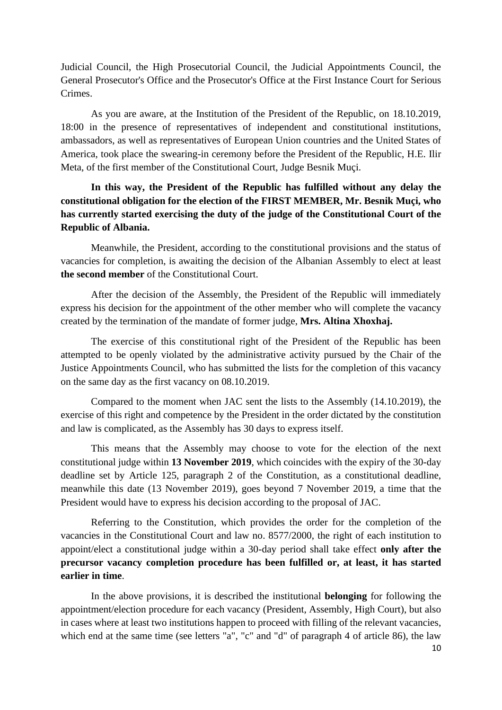Judicial Council, the High Prosecutorial Council, the Judicial Appointments Council, the General Prosecutor's Office and the Prosecutor's Office at the First Instance Court for Serious Crimes.

As you are aware, at the Institution of the President of the Republic, on 18.10.2019, 18:00 in the presence of representatives of independent and constitutional institutions, ambassadors, as well as representatives of European Union countries and the United States of America, took place the swearing-in ceremony before the President of the Republic, H.E. Ilir Meta, of the first member of the Constitutional Court, Judge Besnik Muçi.

# **In this way, the President of the Republic has fulfilled without any delay the constitutional obligation for the election of the FIRST MEMBER, Mr. Besnik Muçi, who has currently started exercising the duty of the judge of the Constitutional Court of the Republic of Albania.**

Meanwhile, the President, according to the constitutional provisions and the status of vacancies for completion, is awaiting the decision of the Albanian Assembly to elect at least **the second member** of the Constitutional Court.

After the decision of the Assembly, the President of the Republic will immediately express his decision for the appointment of the other member who will complete the vacancy created by the termination of the mandate of former judge, **Mrs. Altina Xhoxhaj.**

The exercise of this constitutional right of the President of the Republic has been attempted to be openly violated by the administrative activity pursued by the Chair of the Justice Appointments Council, who has submitted the lists for the completion of this vacancy on the same day as the first vacancy on 08.10.2019.

Compared to the moment when JAC sent the lists to the Assembly (14.10.2019), the exercise of this right and competence by the President in the order dictated by the constitution and law is complicated, as the Assembly has 30 days to express itself.

This means that the Assembly may choose to vote for the election of the next constitutional judge within **13 November 2019**, which coincides with the expiry of the 30-day deadline set by Article 125, paragraph 2 of the Constitution, as a constitutional deadline, meanwhile this date (13 November 2019), goes beyond 7 November 2019, a time that the President would have to express his decision according to the proposal of JAC.

Referring to the Constitution, which provides the order for the completion of the vacancies in the Constitutional Court and law no. 8577/2000, the right of each institution to appoint/elect a constitutional judge within a 30-day period shall take effect **only after the precursor vacancy completion procedure has been fulfilled or, at least, it has started earlier in time**.

In the above provisions, it is described the institutional **belonging** for following the appointment/election procedure for each vacancy (President, Assembly, High Court), but also in cases where at least two institutions happen to proceed with filling of the relevant vacancies, which end at the same time (see letters "a", "c" and "d" of paragraph 4 of article 86), the law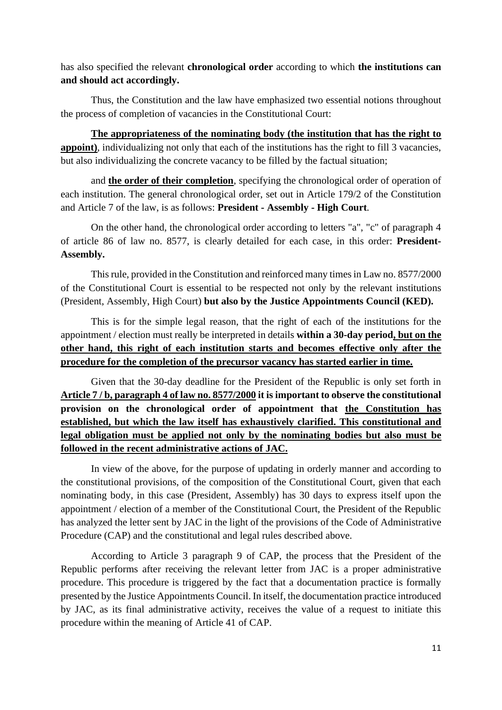has also specified the relevant **chronological order** according to which **the institutions can and should act accordingly.**

Thus, the Constitution and the law have emphasized two essential notions throughout the process of completion of vacancies in the Constitutional Court:

**The appropriateness of the nominating body (the institution that has the right to appoint**), individualizing not only that each of the institutions has the right to fill 3 vacancies, but also individualizing the concrete vacancy to be filled by the factual situation;

and **the order of their completion**, specifying the chronological order of operation of each institution. The general chronological order, set out in Article 179/2 of the Constitution and Article 7 of the law, is as follows: **President - Assembly - High Court**.

On the other hand, the chronological order according to letters "a", "c" of paragraph 4 of article 86 of law no. 8577, is clearly detailed for each case, in this order: **President-Assembly.**

This rule, provided in the Constitution and reinforced many times in Law no. 8577/2000 of the Constitutional Court is essential to be respected not only by the relevant institutions (President, Assembly, High Court) **but also by the Justice Appointments Council (KED).**

This is for the simple legal reason, that the right of each of the institutions for the appointment / election must really be interpreted in details **within a 30-day period, but on the other hand, this right of each institution starts and becomes effective only after the procedure for the completion of the precursor vacancy has started earlier in time.**

Given that the 30-day deadline for the President of the Republic is only set forth in **Article 7 / b, paragraph 4 of law no. 8577/2000 it is important to observe the constitutional provision on the chronological order of appointment that the Constitution has established, but which the law itself has exhaustively clarified. This constitutional and legal obligation must be applied not only by the nominating bodies but also must be followed in the recent administrative actions of JAC.**

In view of the above, for the purpose of updating in orderly manner and according to the constitutional provisions, of the composition of the Constitutional Court, given that each nominating body, in this case (President, Assembly) has 30 days to express itself upon the appointment / election of a member of the Constitutional Court, the President of the Republic has analyzed the letter sent by JAC in the light of the provisions of the Code of Administrative Procedure (CAP) and the constitutional and legal rules described above.

According to Article 3 paragraph 9 of CAP, the process that the President of the Republic performs after receiving the relevant letter from JAC is a proper administrative procedure. This procedure is triggered by the fact that a documentation practice is formally presented by the Justice Appointments Council. In itself, the documentation practice introduced by JAC, as its final administrative activity, receives the value of a request to initiate this procedure within the meaning of Article 41 of CAP.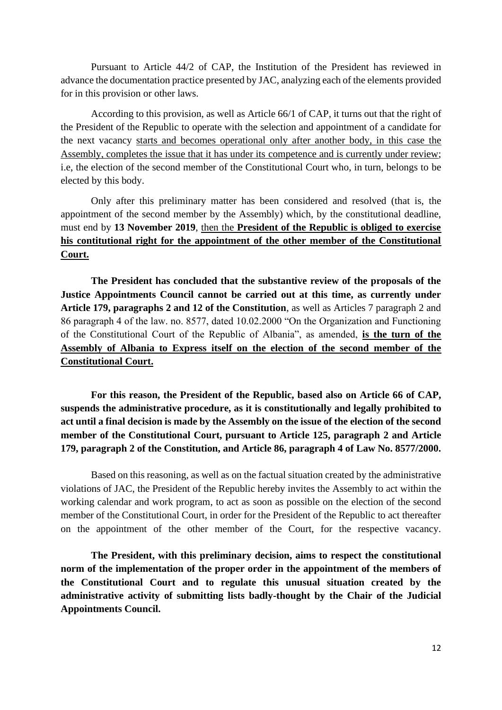Pursuant to Article 44/2 of CAP, the Institution of the President has reviewed in advance the documentation practice presented by JAC, analyzing each of the elements provided for in this provision or other laws.

According to this provision, as well as Article 66/1 of CAP, it turns out that the right of the President of the Republic to operate with the selection and appointment of a candidate for the next vacancy starts and becomes operational only after another body, in this case the Assembly, completes the issue that it has under its competence and is currently under review; i.e, the election of the second member of the Constitutional Court who, in turn, belongs to be elected by this body.

Only after this preliminary matter has been considered and resolved (that is, the appointment of the second member by the Assembly) which, by the constitutional deadline, must end by **13 November 2019**, then the **President of the Republic is obliged to exercise his contitutional right for the appointment of the other member of the Constitutional Court.**

**The President has concluded that the substantive review of the proposals of the Justice Appointments Council cannot be carried out at this time, as currently under Article 179, paragraphs 2 and 12 of the Constitution**, as well as Articles 7 paragraph 2 and 86 paragraph 4 of the law. no. 8577, dated 10.02.2000 "On the Organization and Functioning of the Constitutional Court of the Republic of Albania", as amended, **is the turn of the Assembly of Albania to Express itself on the election of the second member of the Constitutional Court.**

**For this reason, the President of the Republic, based also on Article 66 of CAP, suspends the administrative procedure, as it is constitutionally and legally prohibited to act until a final decision is made by the Assembly on the issue of the election of the second member of the Constitutional Court, pursuant to Article 125, paragraph 2 and Article 179, paragraph 2 of the Constitution, and Article 86, paragraph 4 of Law No. 8577/2000.**

Based on this reasoning, as well as on the factual situation created by the administrative violations of JAC, the President of the Republic hereby invites the Assembly to act within the working calendar and work program, to act as soon as possible on the election of the second member of the Constitutional Court, in order for the President of the Republic to act thereafter on the appointment of the other member of the Court, for the respective vacancy.

**The President, with this preliminary decision, aims to respect the constitutional norm of the implementation of the proper order in the appointment of the members of the Constitutional Court and to regulate this unusual situation created by the administrative activity of submitting lists badly-thought by the Chair of the Judicial Appointments Council.**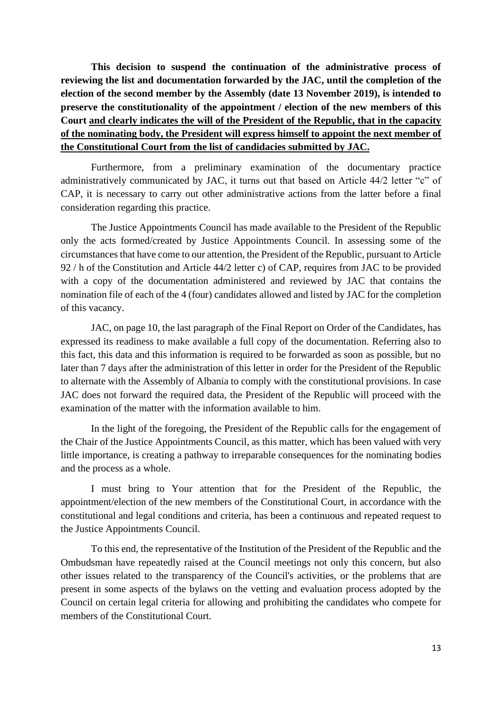**This decision to suspend the continuation of the administrative process of reviewing the list and documentation forwarded by the JAC, until the completion of the election of the second member by the Assembly (date 13 November 2019), is intended to preserve the constitutionality of the appointment / election of the new members of this Court and clearly indicates the will of the President of the Republic, that in the capacity of the nominating body, the President will express himself to appoint the next member of the Constitutional Court from the list of candidacies submitted by JAC.**

Furthermore, from a preliminary examination of the documentary practice administratively communicated by JAC, it turns out that based on Article 44/2 letter "c" of CAP, it is necessary to carry out other administrative actions from the latter before a final consideration regarding this practice.

The Justice Appointments Council has made available to the President of the Republic only the acts formed/created by Justice Appointments Council. In assessing some of the circumstances that have come to our attention, the President of the Republic, pursuant to Article 92 / h of the Constitution and Article 44/2 letter c) of CAP, requires from JAC to be provided with a copy of the documentation administered and reviewed by JAC that contains the nomination file of each of the 4 (four) candidates allowed and listed by JAC for the completion of this vacancy.

JAC, on page 10, the last paragraph of the Final Report on Order of the Candidates, has expressed its readiness to make available a full copy of the documentation. Referring also to this fact, this data and this information is required to be forwarded as soon as possible, but no later than 7 days after the administration of this letter in order for the President of the Republic to alternate with the Assembly of Albania to comply with the constitutional provisions. In case JAC does not forward the required data, the President of the Republic will proceed with the examination of the matter with the information available to him.

In the light of the foregoing, the President of the Republic calls for the engagement of the Chair of the Justice Appointments Council, as this matter, which has been valued with very little importance, is creating a pathway to irreparable consequences for the nominating bodies and the process as a whole.

I must bring to Your attention that for the President of the Republic, the appointment/election of the new members of the Constitutional Court, in accordance with the constitutional and legal conditions and criteria, has been a continuous and repeated request to the Justice Appointments Council.

To this end, the representative of the Institution of the President of the Republic and the Ombudsman have repeatedly raised at the Council meetings not only this concern, but also other issues related to the transparency of the Council's activities, or the problems that are present in some aspects of the bylaws on the vetting and evaluation process adopted by the Council on certain legal criteria for allowing and prohibiting the candidates who compete for members of the Constitutional Court.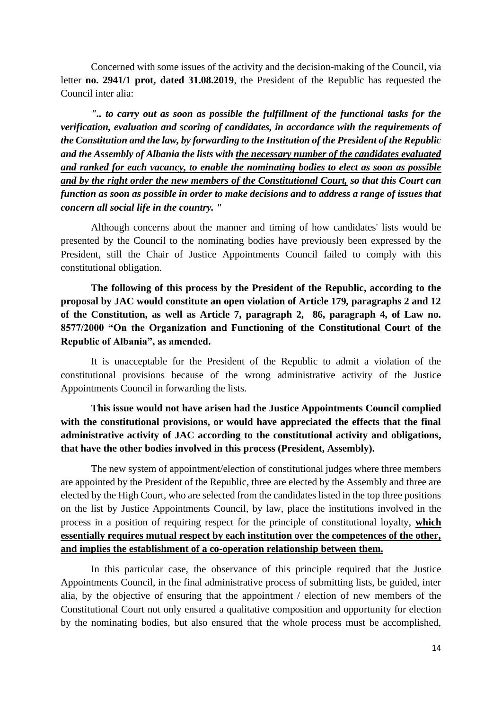Concerned with some issues of the activity and the decision-making of the Council, via letter **no. 2941/1 prot, dated 31.08.2019**, the President of the Republic has requested the Council inter alia:

*".. to carry out as soon as possible the fulfillment of the functional tasks for the verification, evaluation and scoring of candidates, in accordance with the requirements of the Constitution and the law, by forwarding to the Institution of the President of the Republic and the Assembly of Albania the lists with the necessary number of the candidates evaluated and ranked for each vacancy, to enable the nominating bodies to elect as soon as possible and by the right order the new members of the Constitutional Court, so that this Court can function as soon as possible in order to make decisions and to address a range of issues that concern all social life in the country. "*

Although concerns about the manner and timing of how candidates' lists would be presented by the Council to the nominating bodies have previously been expressed by the President, still the Chair of Justice Appointments Council failed to comply with this constitutional obligation.

**The following of this process by the President of the Republic, according to the proposal by JAC would constitute an open violation of Article 179, paragraphs 2 and 12 of the Constitution, as well as Article 7, paragraph 2, 86, paragraph 4, of Law no. 8577/2000 "On the Organization and Functioning of the Constitutional Court of the Republic of Albania", as amended.**

It is unacceptable for the President of the Republic to admit a violation of the constitutional provisions because of the wrong administrative activity of the Justice Appointments Council in forwarding the lists.

**This issue would not have arisen had the Justice Appointments Council complied with the constitutional provisions, or would have appreciated the effects that the final administrative activity of JAC according to the constitutional activity and obligations, that have the other bodies involved in this process (President, Assembly).**

The new system of appointment/election of constitutional judges where three members are appointed by the President of the Republic, three are elected by the Assembly and three are elected by the High Court, who are selected from the candidates listed in the top three positions on the list by Justice Appointments Council, by law, place the institutions involved in the process in a position of requiring respect for the principle of constitutional loyalty, **which essentially requires mutual respect by each institution over the competences of the other, and implies the establishment of a co-operation relationship between them.**

In this particular case, the observance of this principle required that the Justice Appointments Council, in the final administrative process of submitting lists, be guided, inter alia, by the objective of ensuring that the appointment / election of new members of the Constitutional Court not only ensured a qualitative composition and opportunity for election by the nominating bodies, but also ensured that the whole process must be accomplished,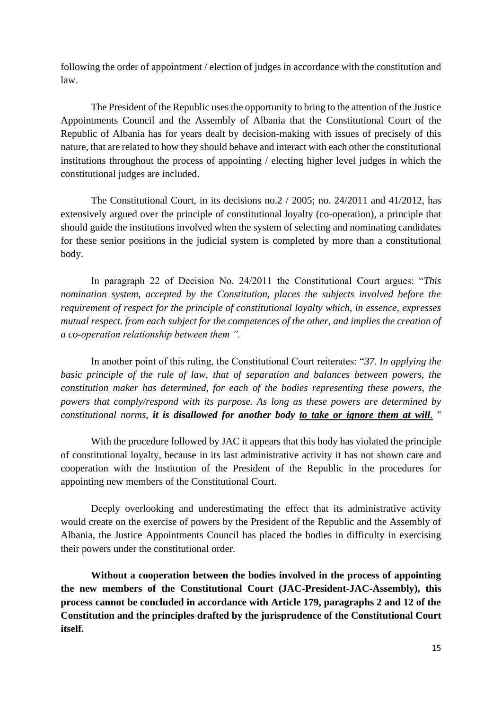following the order of appointment / election of judges in accordance with the constitution and law.

The President of the Republic uses the opportunity to bring to the attention of the Justice Appointments Council and the Assembly of Albania that the Constitutional Court of the Republic of Albania has for years dealt by decision-making with issues of precisely of this nature, that are related to how they should behave and interact with each other the constitutional institutions throughout the process of appointing / electing higher level judges in which the constitutional judges are included.

The Constitutional Court, in its decisions no.2 / 2005; no. 24/2011 and 41/2012, has extensively argued over the principle of constitutional loyalty (co-operation), a principle that should guide the institutions involved when the system of selecting and nominating candidates for these senior positions in the judicial system is completed by more than a constitutional body.

In paragraph 22 of Decision No. 24/2011 the Constitutional Court argues: "*This nomination system, accepted by the Constitution, places the subjects involved before the requirement of respect for the principle of constitutional loyalty which, in essence, expresses mutual respect. from each subject for the competences of the other, and implies the creation of a co-operation relationship between them ".*

In another point of this ruling, the Constitutional Court reiterates: "*37. In applying the basic principle of the rule of law, that of separation and balances between powers, the constitution maker has determined, for each of the bodies representing these powers, the powers that comply/respond with its purpose. As long as these powers are determined by constitutional norms, it is disallowed for another body to take or ignore them at will*. "

With the procedure followed by JAC it appears that this body has violated the principle of constitutional loyalty, because in its last administrative activity it has not shown care and cooperation with the Institution of the President of the Republic in the procedures for appointing new members of the Constitutional Court.

Deeply overlooking and underestimating the effect that its administrative activity would create on the exercise of powers by the President of the Republic and the Assembly of Albania, the Justice Appointments Council has placed the bodies in difficulty in exercising their powers under the constitutional order.

**Without a cooperation between the bodies involved in the process of appointing the new members of the Constitutional Court (JAC-President-JAC-Assembly), this process cannot be concluded in accordance with Article 179, paragraphs 2 and 12 of the Constitution and the principles drafted by the jurisprudence of the Constitutional Court itself.**